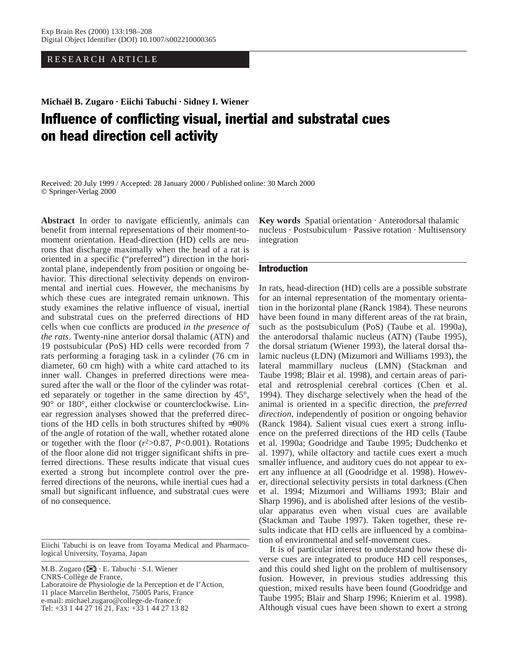RESEARCH ARTICLE

**Michaël B. Zugaro · Eiichi Tabuchi · Sidney I. Wiener**

# Influence of conflicting visual, inertial and substratal cues on head direction cell activity

Received: 20 July 1999 / Accepted: 28 January 2000 / Published online: 30 March 2000 © Springer-Verlag 2000

**Abstract** In order to navigate efficiently, animals can benefit from internal representations of their moment-tomoment orientation. Head-direction (HD) cells are neurons that discharge maximally when the head of a rat is oriented in a specific ("preferred") direction in the horizontal plane, independently from position or ongoing behavior. This directional selectivity depends on environmental and inertial cues. However, the mechanisms by which these cues are integrated remain unknown. This study examines the relative influence of visual, inertial and substratal cues on the preferred directions of HD cells when cue conflicts are produced *in the presence of the rats*. Twenty-nine anterior dorsal thalamic (ATN) and 19 postsubicular (PoS) HD cells were recorded from 7 rats performing a foraging task in a cylinder (76 cm in diameter, 60 cm high) with a white card attached to its inner wall. Changes in preferred directions were measured after the wall or the floor of the cylinder was rotated separately or together in the same direction by 45°, 90° or 180°, either clockwise or counterclockwise. Linear regression analyses showed that the preferred directions of the HD cells in both structures shifted by  $\approx 90\%$ of the angle of rotation of the wall, whether rotated alone or together with the floor (*r*2>0.87, *P*<0.001). Rotations of the floor alone did not trigger significant shifts in preferred directions. These results indicate that visual cues exerted a strong but incomplete control over the preferred directions of the neurons, while inertial cues had a small but significant influence, and substratal cues were of no consequence.

Eiichi Tabuchi is on leave from Toyama Medical and Pharmacological University, Toyama, Japan

M.B. Zugaro (✉) · E. Tabuchi · S.I. Wiener CNRS-Collège de France, Laboratoire de Physiologie de la Perception et de l'Action, 11 place Marcelin Berthelot, 75005 Paris, France e-mail: michael.zugaro@college-de-france.fr Tel: +33 1 44 27 16 21, Fax: +33 1 44 27 13 82

**Key words** Spatial orientation · Anterodorsal thalamic nucleus · Postsubiculum · Passive rotation · Multisensory integration

## Introduction

In rats, head-direction (HD) cells are a possible substrate for an internal representation of the momentary orientation in the horizontal plane (Ranck 1984). These neurons have been found in many different areas of the rat brain, such as the postsubiculum (PoS) (Taube et al. 1990a), the anterodorsal thalamic nucleus (ATN) (Taube 1995), the dorsal striatum (Wiener 1993), the lateral dorsal thalamic nucleus (LDN) (Mizumori and Williams 1993), the lateral mammillary nucleus (LMN) (Stackman and Taube 1998; Blair et al. 1998), and certain areas of parietal and retrosplenial cerebral cortices (Chen et al. 1994). They discharge selectively when the head of the animal is oriented in a specific direction, the *preferred direction*, independently of position or ongoing behavior (Ranck 1984). Salient visual cues exert a strong influence on the preferred directions of the HD cells (Taube et al. 1990a; Goodridge and Taube 1995; Dudchenko et al. 1997), while olfactory and tactile cues exert a much smaller influence, and auditory cues do not appear to exert any influence at all (Goodridge et al. 1998). However, directional selectivity persists in total darkness (Chen et al. 1994; Mizumori and Williams 1993; Blair and Sharp 1996), and is abolished after lesions of the vestibular apparatus even when visual cues are available (Stackman and Taube 1997). Taken together, these results indicate that HD cells are influenced by a combination of environmental and self-movement cues.

It is of particular interest to understand how these diverse cues are integrated to produce HD cell responses, and this could shed light on the problem of multisensory fusion. However, in previous studies addressing this question, mixed results have been found (Goodridge and Taube 1995; Blair and Sharp 1996; Knierim et al. 1998). Although visual cues have been shown to exert a strong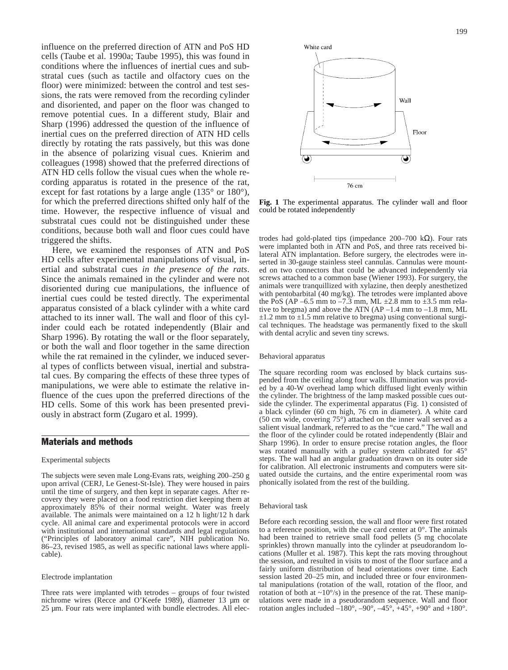influence on the preferred direction of ATN and PoS HD cells (Taube et al. 1990a; Taube 1995), this was found in conditions where the influences of inertial cues and substratal cues (such as tactile and olfactory cues on the floor) were minimized: between the control and test sessions, the rats were removed from the recording cylinder and disoriented, and paper on the floor was changed to remove potential cues. In a different study, Blair and Sharp (1996) addressed the question of the influence of inertial cues on the preferred direction of ATN HD cells directly by rotating the rats passively, but this was done in the absence of polarizing visual cues. Knierim and colleagues (1998) showed that the preferred directions of ATN HD cells follow the visual cues when the whole recording apparatus is rotated in the presence of the rat, except for fast rotations by a large angle (135° or 180°), for which the preferred directions shifted only half of the time. However, the respective influence of visual and substratal cues could not be distinguished under these conditions, because both wall and floor cues could have triggered the shifts.

Here, we examined the responses of ATN and PoS HD cells after experimental manipulations of visual, inertial and substratal cues *in the presence of the rats*. Since the animals remained in the cylinder and were not disoriented during cue manipulations, the influence of inertial cues could be tested directly. The experimental apparatus consisted of a black cylinder with a white card attached to its inner wall. The wall and floor of this cylinder could each be rotated independently (Blair and Sharp 1996). By rotating the wall or the floor separately, or both the wall and floor together in the same direction while the rat remained in the cylinder, we induced several types of conflicts between visual, inertial and substratal cues. By comparing the effects of these three types of manipulations, we were able to estimate the relative influence of the cues upon the preferred directions of the HD cells. Some of this work has been presented previously in abstract form (Zugaro et al. 1999).

## Materials and methods

#### Experimental subjects

The subjects were seven male Long-Evans rats, weighing 200–250 g upon arrival (CERJ, Le Genest-St-Isle). They were housed in pairs until the time of surgery, and then kept in separate cages. After recovery they were placed on a food restriction diet keeping them at approximately 85% of their normal weight. Water was freely available. The animals were maintained on a 12 h light/12 h dark cycle. All animal care and experimental protocols were in accord with institutional and international standards and legal regulations ("Principles of laboratory animal care", NIH publication No. 86–23, revised 1985, as well as specific national laws where applicable).

### Electrode implantation

Three rats were implanted with tetrodes – groups of four twisted nichrome wires (Recce and O'Keefe 1989), diameter 13 µm or 25 µm. Four rats were implanted with bundle electrodes. All elec-



**Fig. 1** The experimental apparatus. The cylinder wall and floor could be rotated independently

trodes had gold-plated tips (impedance 200–700 kΩ). Four rats were implanted both in ATN and PoS, and three rats received bilateral ATN implantation. Before surgery, the electrodes were inserted in 30-gauge stainless steel cannulas. Cannulas were mounted on two connectors that could be advanced independently via screws attached to a common base (Wiener 1993). For surgery, the animals were tranquillized with xylazine, then deeply anesthetized with pentobarbital (40 mg/kg). The tetrodes were implanted above the PoS (AP –6.5 mm to –7.3 mm, ML  $\pm 2.8$  mm to  $\pm 3.5$  mm relative to bregma) and above the ATN  $(AP -1.4 \text{ mm to } -1.8 \text{ mm}, ML$  $\pm 1.2$  mm to  $\pm 1.5$  mm relative to bregma) using conventional surgical techniques. The headstage was permanently fixed to the skull with dental acrylic and seven tiny screws.

Behavioral apparatus

The square recording room was enclosed by black curtains suspended from the ceiling along four walls. Illumination was provided by a 40-W overhead lamp which diffused light evenly within the cylinder. The brightness of the lamp masked possible cues outside the cylinder. The experimental apparatus (Fig. 1) consisted of a black cylinder (60 cm high, 76 cm in diameter). A white card (50 cm wide, covering 75°) attached on the inner wall served as a salient visual landmark, referred to as the "cue card." The wall and the floor of the cylinder could be rotated independently (Blair and Sharp 1996). In order to ensure precise rotation angles, the floor was rotated manually with a pulley system calibrated for 45° steps. The wall had an angular graduation drawn on its outer side for calibration. All electronic instruments and computers were situated outside the curtains, and the entire experimental room was phonically isolated from the rest of the building.

#### Behavioral task

Before each recording session, the wall and floor were first rotated to a reference position, with the cue card center at  $0^\circ$ . The animals had been trained to retrieve small food pellets (5 mg chocolate sprinkles) thrown manually into the cylinder at pseudorandom locations (Muller et al. 1987). This kept the rats moving throughout the session, and resulted in visits to most of the floor surface and a fairly uniform distribution of head orientations over time. Each session lasted 20–25 min, and included three or four environmental manipulations (rotation of the wall, rotation of the floor, and rotation of both at  $\sim 10^{\circ}/s$ ) in the presence of the rat. These manipulations were made in a pseudorandom sequence. Wall and floor rotation angles included  $-180^\circ$ ,  $-90^\circ$ ,  $-45^\circ$ ,  $+45^\circ$ ,  $+90^\circ$  and  $+180^\circ$ .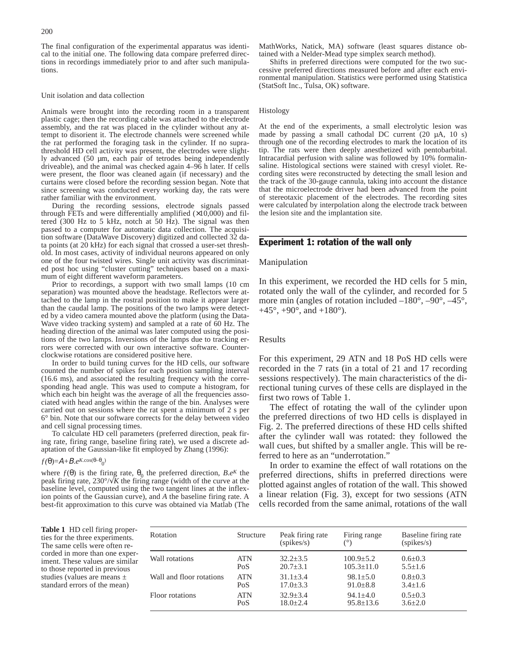The final configuration of the experimental apparatus was identical to the initial one. The following data compare preferred directions in recordings immediately prior to and after such manipulations.

### Unit isolation and data collection

Animals were brought into the recording room in a transparent plastic cage; then the recording cable was attached to the electrode assembly, and the rat was placed in the cylinder without any attempt to disorient it. The electrode channels were screened while the rat performed the foraging task in the cylinder. If no suprathreshold HD cell activity was present, the electrodes were slightly advanced (50 µm, each pair of tetrodes being independently driveable), and the animal was checked again 4–96 h later. If cells were present, the floor was cleaned again (if necessary) and the curtains were closed before the recording session began. Note that since screening was conducted every working day, the rats were rather familiar with the environment.

During the recording sessions, electrode signals passed through FETs and were differentially amplified  $(\times 10,000)$  and filtered (300 Hz to 5 kHz, notch at 50 Hz). The signal was then passed to a computer for automatic data collection. The acquisition software (DataWave Discovery) digitized and collected 32 data points (at 20 kHz) for each signal that crossed a user-set threshold. In most cases, activity of individual neurons appeared on only one of the four twisted wires. Single unit activity was discriminated post hoc using "cluster cutting" techniques based on a maximum of eight different waveform parameters.

Prior to recordings, a support with two small lamps (10 cm separation) was mounted above the headstage. Reflectors were attached to the lamp in the rostral position to make it appear larger than the caudal lamp. The positions of the two lamps were detected by a video camera mounted above the platform (using the Data-Wave video tracking system) and sampled at a rate of 60 Hz. The heading direction of the animal was later computed using the positions of the two lamps. Inversions of the lamps due to tracking errors were corrected with our own interactive software. Counterclockwise rotations are considered positive here.

In order to build tuning curves for the HD cells, our software counted the number of spikes for each position sampling interval (16.6 ms), and associated the resulting frequency with the corresponding head angle. This was used to compute a histogram, for which each bin height was the average of all the frequencies associated with head angles within the range of the bin. Analyses were carried out on sessions where the rat spent a minimum of 2 s per 6° bin. Note that our software corrects for the delay between video and cell signal processing times.

To calculate HD cell parameters (preferred direction, peak firing rate, firing range, baseline firing rate), we used a discrete adaptation of the Gaussian-like fit employed by Zhang (1996):

# $f(\theta) = A + B \cdot e^{K \cdot \cos(\theta - \theta_0)}$

where  $f(\theta)$  is the firing rate,  $\theta_0$  the preferred direction, *B.eK* the peak firing rate,  $230^{\circ}/\sqrt{K}$  the firing range (width of the curve at the baseline level, computed using the two tangent lines at the inflexion points of the Gaussian curve), and *A* the baseline firing rate. A best-fit approximation to this curve was obtained via Matlab (The MathWorks, Natick, MA) software (least squares distance obtained with a Nelder-Mead type simplex search method).

Shifts in preferred directions were computed for the two successive preferred directions measured before and after each environmental manipulation. Statistics were performed using Statistica (StatSoft Inc., Tulsa, OK) software.

#### Histology

At the end of the experiments, a small electrolytic lesion was made by passing a small cathodal DC current (20  $\mu$ A, 10 s) through one of the recording electrodes to mark the location of its tip. The rats were then deeply anesthetized with pentobarbital. Intracardial perfusion with saline was followed by 10% formalinsaline. Histological sections were stained with cresyl violet. Recording sites were reconstructed by detecting the small lesion and the track of the 30-gauge cannula, taking into account the distance that the microelectrode driver had been advanced from the point of stereotaxic placement of the electrodes. The recording sites were calculated by interpolation along the electrode track between the lesion site and the implantation site.

### Experiment 1: rotation of the wall only

### Manipulation

In this experiment, we recorded the HD cells for 5 min, rotated only the wall of the cylinder, and recorded for 5 more min (angles of rotation included –180°, –90°, –45°,  $+45^{\circ}$ ,  $+90^{\circ}$ , and  $+180^{\circ}$ ).

### Results

For this experiment, 29 ATN and 18 PoS HD cells were recorded in the 7 rats (in a total of 21 and 17 recording sessions respectively). The main characteristics of the directional tuning curves of these cells are displayed in the first two rows of Table 1.

The effect of rotating the wall of the cylinder upon the preferred directions of two HD cells is displayed in Fig. 2. The preferred directions of these HD cells shifted after the cylinder wall was rotated: they followed the wall cues, but shifted by a smaller angle. This will be referred to here as an "underrotation."

In order to examine the effect of wall rotations on the preferred directions, shifts in preferred directions were plotted against angles of rotation of the wall. This showed a linear relation (Fig. 3), except for two sessions (ATN cells recorded from the same animal, rotations of the wall

**Table 1** HD cell firing properties for the three experiments. The same cells were often recorded in more than one experiment. These values are similar to those reported in previous studies (values are means ± standard errors of the mean)

| Rotation                 | Structure  | Peak firing rate<br>(spikes/s) | Firing range<br>$(^\circ)$ | Baseline firing rate<br>(spikes/s) |
|--------------------------|------------|--------------------------------|----------------------------|------------------------------------|
| Wall rotations           | <b>ATN</b> | $32.2 + 3.5$                   | $100.9 \pm 5.2$            | $0.6 \pm 0.3$                      |
|                          | PoS        | $20.7 \pm 3.1$                 | $105.3 \pm 11.0$           | $5.5 \pm 1.6$                      |
| Wall and floor rotations | <b>ATN</b> | $31.1 \pm 3.4$                 | $98.1 + 5.0$               | $0.8 \pm 0.3$                      |
|                          | PoS        | $17.0 \pm 3.3$                 | $91.0 \pm 8.8$             | $3.4 \pm 1.6$                      |
| Floor rotations          | ATN        | $32.9 \pm 3.4$                 | $94.1 \pm 4.0$             | $0.5 \pm 0.3$                      |
|                          | PoS        | $18.0 \pm 2.4$                 | $95.8 \pm 13.6$            | $3.6 \pm 2.0$                      |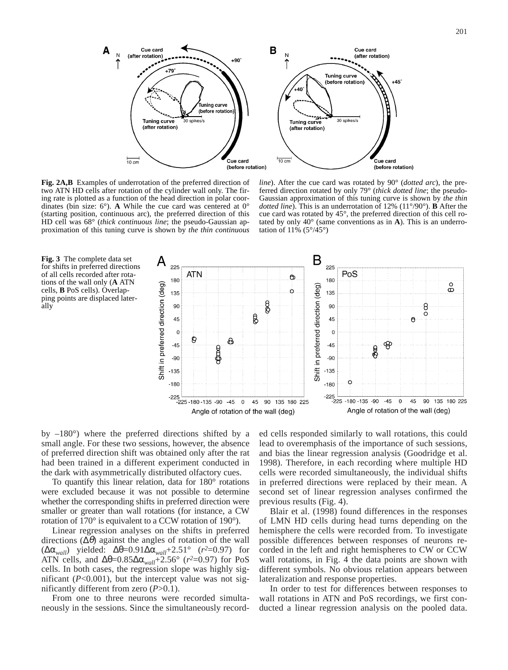

**Fig. 2A,B** Examples of underrotation of the preferred direction of two ATN HD cells after rotation of the cylinder wall only. The firing rate is plotted as a function of the head direction in polar coordinates (bin size:  $6^{\circ}$ ). A While the cue card was centered at  $0^{\circ}$ (starting position, continuous arc), the preferred direction of this HD cell was 68° (*thick continuous line*; the pseudo-Gaussian approximation of this tuning curve is shown by *the thin continuous*

*line*). After the cue card was rotated by 90° (*dotted arc*), the preferred direction rotated by only 79° (*thick dotted line*; the pseudo-Gaussian approximation of this tuning curve is shown by *the thin dotted line*). This is an underrotation of 12% (11°/90°). **B** After the cue card was rotated by 45°, the preferred direction of this cell rotated by only 40° (same conventions as in **A**). This is an underrotation of  $11\%$  (5 $\degree$ /45 $\degree$ )





by  $-180^\circ$ ) where the preferred directions shifted by a small angle. For these two sessions, however, the absence of preferred direction shift was obtained only after the rat had been trained in a different experiment conducted in the dark with asymmetrically distributed olfactory cues.

To quantify this linear relation, data for 180° rotations were excluded because it was not possible to determine whether the corresponding shifts in preferred direction were smaller or greater than wall rotations (for instance, a CW rotation of 170° is equivalent to a CCW rotation of 190°).

Linear regression analyses on the shifts in preferred directions  $(\Delta \theta)$  against the angles of rotation of the wall (∆α*wall*) yielded: ∆θ=0.91∆α*wall*+2.51° (*r2*=0.97) for ATN cells, and  $\Delta\theta$ =0.85 $\Delta\alpha_{wall}$ +2.56° ( $r^2$ =0.97) for PoS cells. In both cases, the regression slope was highly significant  $(P<0.001)$ , but the intercept value was not significantly different from zero (*P*>0.1).

From one to three neurons were recorded simultaneously in the sessions. Since the simultaneously recorded cells responded similarly to wall rotations, this could lead to overemphasis of the importance of such sessions, and bias the linear regression analysis (Goodridge et al. 1998). Therefore, in each recording where multiple HD cells were recorded simultaneously, the individual shifts in preferred directions were replaced by their mean. A second set of linear regression analyses confirmed the previous results (Fig. 4).

Blair et al. (1998) found differences in the responses of LMN HD cells during head turns depending on the hemisphere the cells were recorded from. To investigate possible differences between responses of neurons recorded in the left and right hemispheres to CW or CCW wall rotations, in Fig. 4 the data points are shown with different symbols. No obvious relation appears between lateralization and response properties.

In order to test for differences between responses to wall rotations in ATN and PoS recordings, we first conducted a linear regression analysis on the pooled data.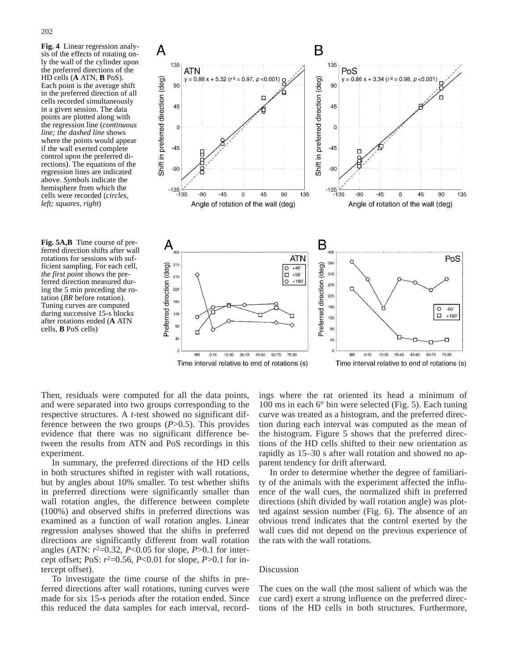**Fig. 4** Linear regression analysis of the effects of rotating only the wall of the cylinder upon the preferred directions of the HD cells (**A** ATN, **B** PoS). Each point is the average shift in the preferred direction of all cells recorded simultaneously in a given session. The data points are plotted along with the regression line (*continuous line; the dashed line* shows where the points would appear if the wall exerted complete control upon the preferred directions). The equations of the regression lines are indicated above. *Symbols* indicate the hemisphere from which the cells were recorded (*circles, left; squares, right*)







Time interval relative to end of rotations (s)

Then, residuals were computed for all the data points, and were separated into two groups corresponding to the respective structures. A *t*-test showed no significant difference between the two groups (*P*>0.5). This provides evidence that there was no significant difference between the results from ATN and PoS recordings in this experiment.

In summary, the preferred directions of the HD cells in both structures shifted in register with wall rotations, but by angles about 10% smaller. To test whether shifts in preferred directions were significantly smaller than wall rotation angles, the difference between complete (100%) and observed shifts in preferred directions was examined as a function of wall rotation angles. Linear regression analyses showed that the shifts in preferred directions are significantly different from wall rotation angles (ATN:  $r^2=0.32$ ,  $P<0.05$  for slope,  $P>0.1$  for intercept offset; PoS: *r*2=0.56, *P*<0.01 for slope, *P*>0.1 for intercept offset).

To investigate the time course of the shifts in preferred directions after wall rotations, tuning curves were made for six 15-s periods after the rotation ended. Since this reduced the data samples for each interval, recordings where the rat oriented its head a minimum of 100 ms in each 6° bin were selected (Fig. 5). Each tuning curve was treated as a histogram, and the preferred direction during each interval was computed as the mean of the histogram. Figure 5 shows that the preferred directions of the HD cells shifted to their new orientation as rapidly as 15–30 s after wall rotation and showed no apparent tendency for drift afterward.

In order to determine whether the degree of familiarity of the animals with the experiment affected the influence of the wall cues, the normalized shift in preferred directions (shift divided by wall rotation angle) was plotted against session number (Fig. 6). The absence of an obvious trend indicates that the control exerted by the wall cues did not depend on the previous experience of the rats with the wall rotations.

### Discussion

The cues on the wall (the most salient of which was the cue card) exert a strong influence on the preferred directions of the HD cells in both structures. Furthermore,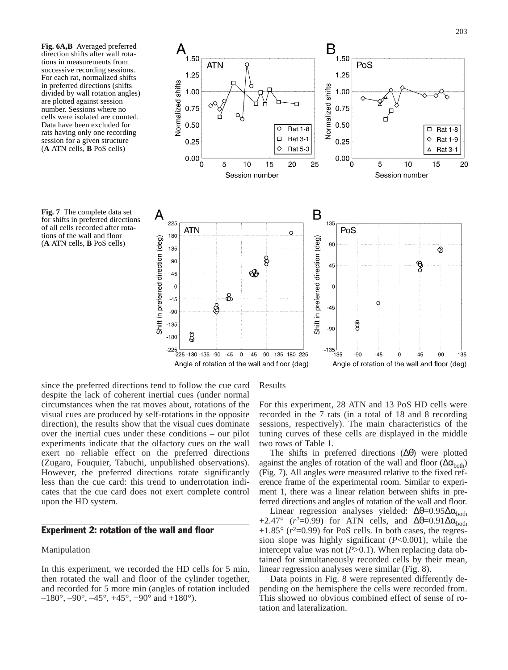**Fig. 6A,B** Averaged preferred direction shifts after wall rotations in measurements from successive recording sessions. For each rat, normalized shifts in preferred directions (shifts divided by wall rotation angles) are plotted against session number. Sessions where no cells were isolated are counted. Data have been excluded for rats having only one recording session for a given structure (**A** ATN cells, **B** PoS cells)

**Fig. 7** The complete data set for shifts in preferred directions of all cells recorded after rotations of the wall and floor (**A** ATN cells, **B** PoS cells)



since the preferred directions tend to follow the cue card despite the lack of coherent inertial cues (under normal circumstances when the rat moves about, rotations of the visual cues are produced by self-rotations in the opposite direction), the results show that the visual cues dominate over the inertial cues under these conditions – our pilot experiments indicate that the olfactory cues on the wall exert no reliable effect on the preferred directions (Zugaro, Fouquier, Tabuchi, unpublished observations). However, the preferred directions rotate significantly less than the cue card: this trend to underrotation indicates that the cue card does not exert complete control upon the HD system.

# Experiment 2: rotation of the wall and floor

# Manipulation

In this experiment, we recorded the HD cells for 5 min, then rotated the wall and floor of the cylinder together, and recorded for 5 more min (angles of rotation included  $-180^\circ$ ,  $-90^\circ$ ,  $-45^\circ$ ,  $+45^\circ$ ,  $+90^\circ$  and  $+180^\circ$ ).

# Results

For this experiment, 28 ATN and 13 PoS HD cells were recorded in the 7 rats (in a total of 18 and 8 recording sessions, respectively). The main characteristics of the tuning curves of these cells are displayed in the middle two rows of Table 1.

The shifts in preferred directions (∆θ) were plotted against the angles of rotation of the wall and floor  $(\Delta \alpha_{\text{both}})$ (Fig. 7). All angles were measured relative to the fixed reference frame of the experimental room. Similar to experiment 1, there was a linear relation between shifts in preferred directions and angles of rotation of the wall and floor.

Linear regression analyses yielded:  $\Delta\theta$ =0.95 $\Delta\alpha_{\text{both}}$ +2.47° ( $r^2$ =0.99) for ATN cells, and  $\Delta\theta$ =0.91 $\Delta\alpha_{\text{both}}$  $+1.85^{\circ}$  ( $r^2$ =0.99) for PoS cells. In both cases, the regression slope was highly significant (*P*<0.001), while the intercept value was not  $(P>0.1)$ . When replacing data obtained for simultaneously recorded cells by their mean, linear regression analyses were similar (Fig. 8).

Data points in Fig. 8 were represented differently depending on the hemisphere the cells were recorded from. This showed no obvious combined effect of sense of rotation and lateralization.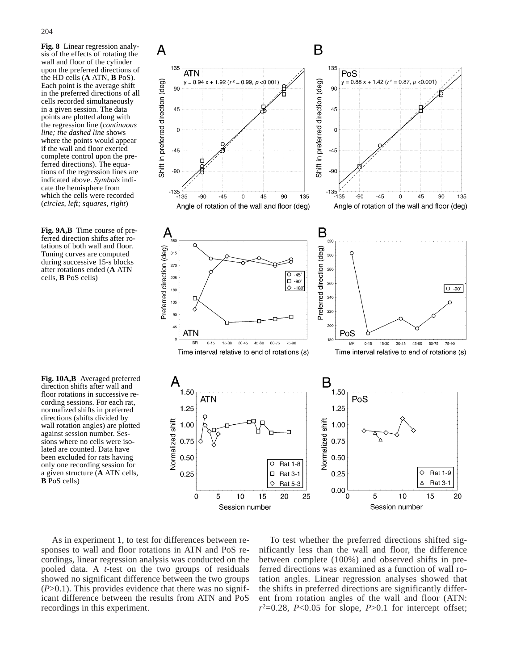**Fig. 8** Linear regression analysis of the effects of rotating the wall and floor of the cylinder upon the preferred directions of the HD cells (**A** ATN, **B** PoS). Each point is the average shift in the preferred directions of all cells recorded simultaneously in a given session. The data points are plotted along with the regression line (*continuous line; the dashed line* shows where the points would appear if the wall and floor exerted complete control upon the preferred directions). The equations of the regression lines are indicated above. *Symbols* indicate the hemisphere from which the cells were recorded (*circles, left; squares, right*)

**Fig. 9A,B** Time course of preferred direction shifts after rotations of both wall and floor. Tuning curves are computed during successive 15-s blocks after rotations ended (**A** ATN cells, **B** PoS cells)

**Fig. 10A,B** Averaged preferred direction shifts after wall and floor rotations in successive recording sessions. For each rat, normalized shifts in preferred directions (shifts divided by wall rotation angles) are plotted against session number. Sessions where no cells were isolated are counted. Data have been excluded for rats having only one recording session for a given structure (**A** ATN cells, **B** PoS cells)



As in experiment 1, to test for differences between responses to wall and floor rotations in ATN and PoS recordings, linear regression analysis was conducted on the pooled data. A *t*-test on the two groups of residuals showed no significant difference between the two groups  $(P>0.1)$ . This provides evidence that there was no significant difference between the results from ATN and PoS recordings in this experiment.

To test whether the preferred directions shifted significantly less than the wall and floor, the difference between complete (100%) and observed shifts in preferred directions was examined as a function of wall rotation angles. Linear regression analyses showed that the shifts in preferred directions are significantly different from rotation angles of the wall and floor (ATN:  $r^2=0.28$ ,  $P<0.05$  for slope,  $P>0.1$  for intercept offset;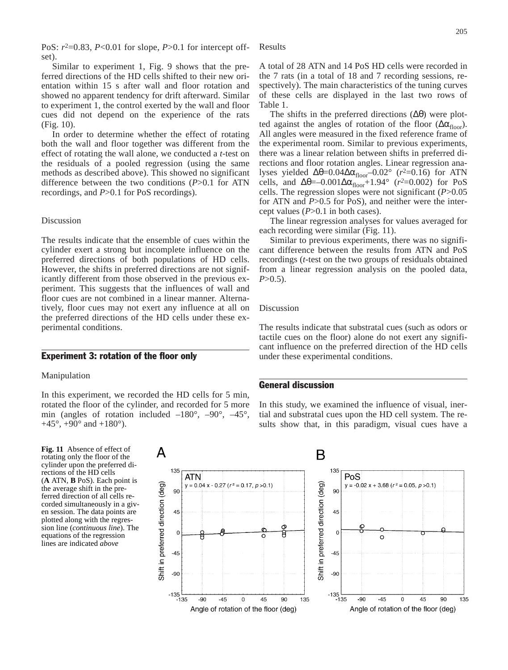PoS: *r*2=0.83, *P*<0.01 for slope, *P*>0.1 for intercept offset).

Similar to experiment 1, Fig. 9 shows that the preferred directions of the HD cells shifted to their new orientation within 15 s after wall and floor rotation and showed no apparent tendency for drift afterward. Similar to experiment 1, the control exerted by the wall and floor cues did not depend on the experience of the rats (Fig. 10).

In order to determine whether the effect of rotating both the wall and floor together was different from the effect of rotating the wall alone, we conducted a *t*-test on the residuals of a pooled regression (using the same methods as described above). This showed no significant difference between the two conditions (*P*>0.1 for ATN recordings, and *P*>0.1 for PoS recordings).

### Discussion

The results indicate that the ensemble of cues within the cylinder exert a strong but incomplete influence on the preferred directions of both populations of HD cells. However, the shifts in preferred directions are not significantly different from those observed in the previous experiment. This suggests that the influences of wall and floor cues are not combined in a linear manner. Alternatively, floor cues may not exert any influence at all on the preferred directions of the HD cells under these experimental conditions.

## Experiment 3: rotation of the floor only

### Manipulation

In this experiment, we recorded the HD cells for 5 min, rotated the floor of the cylinder, and recorded for 5 more min (angles of rotation included  $-180^\circ$ ,  $-90^\circ$ ,  $-45^\circ$ ,  $+45^{\circ}$ ,  $+90^{\circ}$  and  $+180^{\circ}$ ).

**Fig. 11** Absence of effect of rotating only the floor of the cylinder upon the preferred directions of the HD cells (**A** ATN, **B** PoS). Each point is the average shift in the preferred direction of all cells recorded simultaneously in a given session. The data points are plotted along with the regression line (*continuous line*). The equations of the regression lines are indicated *above*

#### Results

A total of 28 ATN and 14 PoS HD cells were recorded in the 7 rats (in a total of 18 and 7 recording sessions, respectively). The main characteristics of the tuning curves of these cells are displayed in the last two rows of Table 1.

The shifts in the preferred directions  $(\Delta\theta)$  were plotted against the angles of rotation of the floor ( $\Delta \alpha_{\text{floor}}$ ). All angles were measured in the fixed reference frame of the experimental room. Similar to previous experiments, there was a linear relation between shifts in preferred directions and floor rotation angles. Linear regression analyses yielded Δθ=0.04Δα<sub>floor</sub>–0.02° (*r*<sup>2</sup>=0.16) for ATN cells, and  $\Delta\theta$ =–0.001 $\Delta\alpha$ <sub>floor</sub>+1.94° ( $r^2$ =0.002) for PoS cells. The regression slopes were not significant (*P*>0.05 for ATN and *P*>0.5 for PoS), and neither were the intercept values (*P*>0.1 in both cases).

The linear regression analyses for values averaged for each recording were similar (Fig. 11).

Similar to previous experiments, there was no significant difference between the results from ATN and PoS recordings (*t*-test on the two groups of residuals obtained from a linear regression analysis on the pooled data, *P*>0.5).

### Discussion

The results indicate that substratal cues (such as odors or tactile cues on the floor) alone do not exert any significant influence on the preferred direction of the HD cells under these experimental conditions.

# General discussion

In this study, we examined the influence of visual, inertial and substratal cues upon the HD cell system. The results show that, in this paradigm, visual cues have a

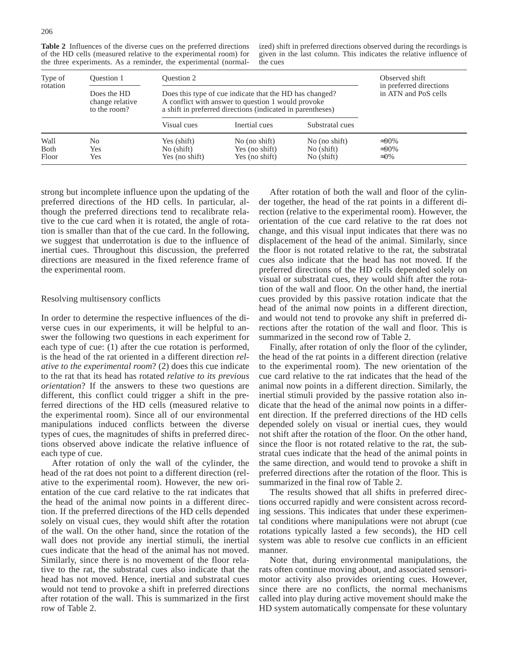| <b>Table 2</b> Influences of the diverse cues on the preferred directions |
|---------------------------------------------------------------------------|
| of the HD cells (measured relative to the experimental room) for          |
| the three experiments. As a reminder, the experimental (normal-           |

ized) shift in preferred directions observed during the recordings is given in the last column. This indicates the relative influence of the cues

| Type of<br>Question 1<br>rotation<br>Does the HD<br>change relative<br>to the room? | Question 2       |                                                                                                                                                                             |                                                   | Observed shift                              |                                                   |
|-------------------------------------------------------------------------------------|------------------|-----------------------------------------------------------------------------------------------------------------------------------------------------------------------------|---------------------------------------------------|---------------------------------------------|---------------------------------------------------|
|                                                                                     |                  | Does this type of cue indicate that the HD has changed?<br>A conflict with answer to question 1 would provoke<br>a shift in preferred directions (indicated in parentheses) |                                                   |                                             | in preferred directions<br>in ATN and PoS cells   |
|                                                                                     |                  | Visual cues                                                                                                                                                                 | Inertial cues                                     | Substratal cues                             |                                                   |
| Wall<br>Both<br>Floor                                                               | No<br>Yes<br>Yes | Yes (shift)<br>$No$ (shift)<br>Yes (no shift)                                                                                                                               | No (no shift)<br>Yes (no shift)<br>Yes (no shift) | No (no shift)<br>No (shift)<br>$No$ (shift) | $\approx 90\%$<br>$\approx 90\%$<br>$\approx 0\%$ |

strong but incomplete influence upon the updating of the preferred directions of the HD cells. In particular, although the preferred directions tend to recalibrate relative to the cue card when it is rotated, the angle of rotation is smaller than that of the cue card. In the following, we suggest that underrotation is due to the influence of inertial cues. Throughout this discussion, the preferred directions are measured in the fixed reference frame of the experimental room.

## Resolving multisensory conflicts

In order to determine the respective influences of the diverse cues in our experiments, it will be helpful to answer the following two questions in each experiment for each type of cue: (1) after the cue rotation is performed, is the head of the rat oriented in a different direction *relative to the experimental room*? (2) does this cue indicate to the rat that its head has rotated *relative to its previous orientation*? If the answers to these two questions are different, this conflict could trigger a shift in the preferred directions of the HD cells (measured relative to the experimental room). Since all of our environmental manipulations induced conflicts between the diverse types of cues, the magnitudes of shifts in preferred directions observed above indicate the relative influence of each type of cue.

After rotation of only the wall of the cylinder, the head of the rat does not point to a different direction (relative to the experimental room). However, the new orientation of the cue card relative to the rat indicates that the head of the animal now points in a different direction. If the preferred directions of the HD cells depended solely on visual cues, they would shift after the rotation of the wall. On the other hand, since the rotation of the wall does not provide any inertial stimuli, the inertial cues indicate that the head of the animal has not moved. Similarly, since there is no movement of the floor relative to the rat, the substratal cues also indicate that the head has not moved. Hence, inertial and substratal cues would not tend to provoke a shift in preferred directions after rotation of the wall. This is summarized in the first row of Table 2.

After rotation of both the wall and floor of the cylinder together, the head of the rat points in a different direction (relative to the experimental room). However, the orientation of the cue card relative to the rat does not change, and this visual input indicates that there was no displacement of the head of the animal. Similarly, since the floor is not rotated relative to the rat, the substratal cues also indicate that the head has not moved. If the preferred directions of the HD cells depended solely on visual or substratal cues, they would shift after the rotation of the wall and floor. On the other hand, the inertial cues provided by this passive rotation indicate that the head of the animal now points in a different direction, and would not tend to provoke any shift in preferred directions after the rotation of the wall and floor. This is summarized in the second row of Table 2.

Finally, after rotation of only the floor of the cylinder, the head of the rat points in a different direction (relative to the experimental room). The new orientation of the cue card relative to the rat indicates that the head of the animal now points in a different direction. Similarly, the inertial stimuli provided by the passive rotation also indicate that the head of the animal now points in a different direction. If the preferred directions of the HD cells depended solely on visual or inertial cues, they would not shift after the rotation of the floor. On the other hand, since the floor is not rotated relative to the rat, the substratal cues indicate that the head of the animal points in the same direction, and would tend to provoke a shift in preferred directions after the rotation of the floor. This is summarized in the final row of Table 2.

The results showed that all shifts in preferred directions occurred rapidly and were consistent across recording sessions. This indicates that under these experimental conditions where manipulations were not abrupt (cue rotations typically lasted a few seconds), the HD cell system was able to resolve cue conflicts in an efficient manner.

Note that, during environmental manipulations, the rats often continue moving about, and associated sensorimotor activity also provides orienting cues. However, since there are no conflicts, the normal mechanisms called into play during active movement should make the HD system automatically compensate for these voluntary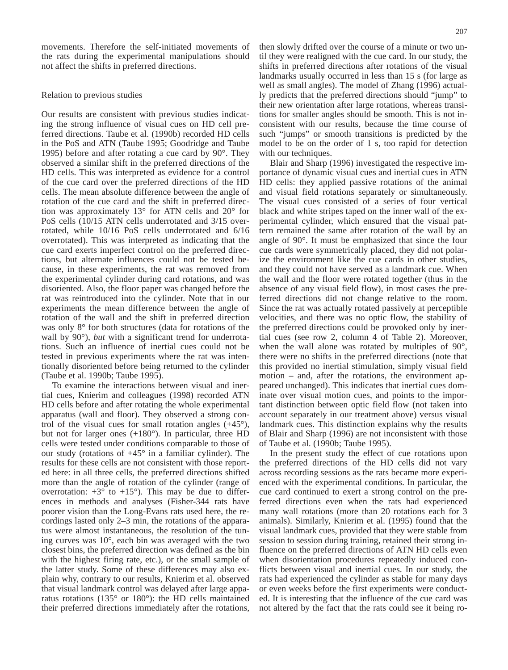movements. Therefore the self-initiated movements of the rats during the experimental manipulations should not affect the shifts in preferred directions.

## Relation to previous studies

Our results are consistent with previous studies indicating the strong influence of visual cues on HD cell preferred directions. Taube et al. (1990b) recorded HD cells in the PoS and ATN (Taube 1995; Goodridge and Taube 1995) before and after rotating a cue card by 90°. They observed a similar shift in the preferred directions of the HD cells. This was interpreted as evidence for a control of the cue card over the preferred directions of the HD cells. The mean absolute difference between the angle of rotation of the cue card and the shift in preferred direction was approximately 13° for ATN cells and 20° for PoS cells (10/15 ATN cells underrotated and 3/15 overrotated, while 10/16 PoS cells underrotated and 6/16 overrotated). This was interpreted as indicating that the cue card exerts imperfect control on the preferred directions, but alternate influences could not be tested because, in these experiments, the rat was removed from the experimental cylinder during card rotations, and was disoriented. Also, the floor paper was changed before the rat was reintroduced into the cylinder. Note that in our experiments the mean difference between the angle of rotation of the wall and the shift in preferred direction was only 8° for both structures (data for rotations of the wall by 90°), *but* with a significant trend for underrotations. Such an influence of inertial cues could not be tested in previous experiments where the rat was intentionally disoriented before being returned to the cylinder (Taube et al. 1990b; Taube 1995).

To examine the interactions between visual and inertial cues, Knierim and colleagues (1998) recorded ATN HD cells before and after rotating the whole experimental apparatus (wall and floor). They observed a strong control of the visual cues for small rotation angles  $(+45^{\circ})$ , but not for larger ones (+180°). In particular, three HD cells were tested under conditions comparable to those of our study (rotations of  $+45^{\circ}$  in a familiar cylinder). The results for these cells are not consistent with those reported here: in all three cells, the preferred directions shifted more than the angle of rotation of the cylinder (range of overrotation:  $+3^{\circ}$  to  $+15^{\circ}$ ). This may be due to differences in methods and analyses (Fisher-344 rats have poorer vision than the Long-Evans rats used here, the recordings lasted only 2–3 min, the rotations of the apparatus were almost instantaneous, the resolution of the tuning curves was 10°, each bin was averaged with the two closest bins, the preferred direction was defined as the bin with the highest firing rate, etc.), or the small sample of the latter study. Some of these differences may also explain why, contrary to our results, Knierim et al. observed that visual landmark control was delayed after large apparatus rotations (135° or 180°): the HD cells maintained their preferred directions immediately after the rotations,

then slowly drifted over the course of a minute or two until they were realigned with the cue card. In our study, the shifts in preferred directions after rotations of the visual landmarks usually occurred in less than 15 s (for large as well as small angles). The model of Zhang (1996) actually predicts that the preferred directions should "jump" to their new orientation after large rotations, whereas transitions for smaller angles should be smooth. This is not inconsistent with our results, because the time course of such "jumps" or smooth transitions is predicted by the model to be on the order of 1 s, too rapid for detection with our techniques.

Blair and Sharp (1996) investigated the respective importance of dynamic visual cues and inertial cues in ATN HD cells: they applied passive rotations of the animal and visual field rotations separately or simultaneously. The visual cues consisted of a series of four vertical black and white stripes taped on the inner wall of the experimental cylinder, which ensured that the visual pattern remained the same after rotation of the wall by an angle of 90°. It must be emphasized that since the four cue cards were symmetrically placed, they did not polarize the environment like the cue cards in other studies, and they could not have served as a landmark cue. When the wall and the floor were rotated together (thus in the absence of any visual field flow), in most cases the preferred directions did not change relative to the room. Since the rat was actually rotated passively at perceptible velocities, and there was no optic flow, the stability of the preferred directions could be provoked only by inertial cues (see row 2, column 4 of Table 2). Moreover, when the wall alone was rotated by multiples of 90°, there were no shifts in the preferred directions (note that this provided no inertial stimulation, simply visual field motion – and, after the rotations, the environment appeared unchanged). This indicates that inertial cues dominate over visual motion cues, and points to the important distinction between optic field flow (not taken into account separately in our treatment above) versus visual landmark cues. This distinction explains why the results of Blair and Sharp (1996) are not inconsistent with those of Taube et al. (1990b; Taube 1995).

In the present study the effect of cue rotations upon the preferred directions of the HD cells did not vary across recording sessions as the rats became more experienced with the experimental conditions. In particular, the cue card continued to exert a strong control on the preferred directions even when the rats had experienced many wall rotations (more than 20 rotations each for 3 animals). Similarly, Knierim et al. (1995) found that the visual landmark cues, provided that they were stable from session to session during training, retained their strong influence on the preferred directions of ATN HD cells even when disorientation procedures repeatedly induced conflicts between visual and inertial cues. In our study, the rats had experienced the cylinder as stable for many days or even weeks before the first experiments were conducted. It is interesting that the influence of the cue card was not altered by the fact that the rats could see it being ro